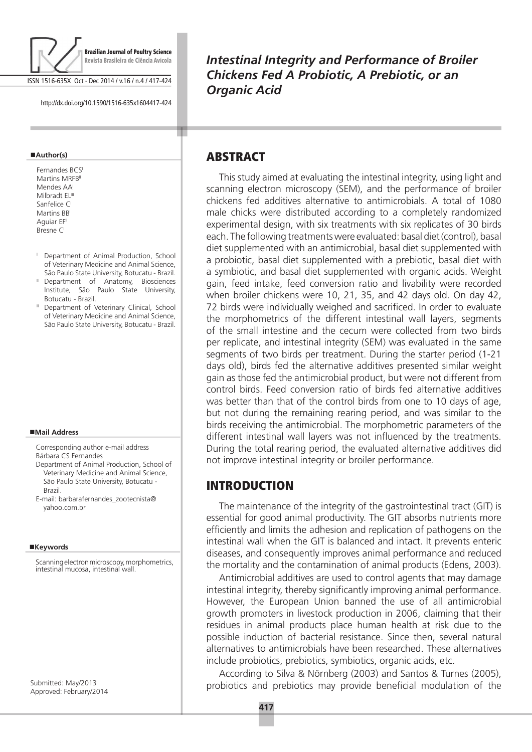

ISSN 1516-635X Oct - Dec 2014 / v.16 / n.4 / 417-424

http://dx.doi.org/10.1590/1516-635x1604417-424

#### **Author(s)**

Fernandes BCS<sup>I</sup> Martins MRFB Mendes AA<sup>I</sup> Milbradt EL<sup>III</sup> Sanfelice CI Martins **BB** Aguiar EF<sup>I</sup> Bresne C

- <sup>1</sup> Department of Animal Production, School of Veterinary Medicine and Animal Science, São Paulo State University, Botucatu - Brazil.
- <sup>II</sup> Department of Anatomy, Biosciences Institute, São Paulo State University, Botucatu - Brazil.
- III Department of Veterinary Clinical, School of Veterinary Medicine and Animal Science, São Paulo State University, Botucatu - Brazil.

#### **Mail Address**

Corresponding author e-mail address Bárbara CS Fernandes

- Department of Animal Production, School of Veterinary Medicine and Animal Science, São Paulo State University, Botucatu - Brazil.
- E-mail: barbarafernandes\_zootecnista@ yahoo.com.br

#### ■Keywords

Scanning electron microscopy, morphometrics, intestinal mucosa, intestinal wall.

Submitted: May/2013 Approved: February/2014 *Intestinal Integrity and Performance of Broiler Chickens Fed A Probiotic, A Prebiotic, or an Organic Acid*

## **ABSTRACT**

т

This study aimed at evaluating the intestinal integrity, using light and scanning electron microscopy (SEM), and the performance of broiler chickens fed additives alternative to antimicrobials. A total of 1080 male chicks were distributed according to a completely randomized experimental design, with six treatments with six replicates of 30 birds each. The following treatments were evaluated: basal diet (control), basal diet supplemented with an antimicrobial, basal diet supplemented with a probiotic, basal diet supplemented with a prebiotic, basal diet with a symbiotic, and basal diet supplemented with organic acids. Weight gain, feed intake, feed conversion ratio and livability were recorded when broiler chickens were 10, 21, 35, and 42 days old. On day 42, 72 birds were individually weighed and sacrificed. In order to evaluate the morphometrics of the different intestinal wall layers, segments of the small intestine and the cecum were collected from two birds per replicate, and intestinal integrity (SEM) was evaluated in the same segments of two birds per treatment. During the starter period (1-21 days old), birds fed the alternative additives presented similar weight gain as those fed the antimicrobial product, but were not different from control birds. Feed conversion ratio of birds fed alternative additives was better than that of the control birds from one to 10 days of age, but not during the remaining rearing period, and was similar to the birds receiving the antimicrobial. The morphometric parameters of the different intestinal wall layers was not influenced by the treatments. During the total rearing period, the evaluated alternative additives did not improve intestinal integrity or broiler performance.

## INTRODUCTION

The maintenance of the integrity of the gastrointestinal tract (GIT) is essential for good animal productivity. The GIT absorbs nutrients more efficiently and limits the adhesion and replication of pathogens on the intestinal wall when the GIT is balanced and intact. It prevents enteric diseases, and consequently improves animal performance and reduced the mortality and the contamination of animal products (Edens, 2003).

Antimicrobial additives are used to control agents that may damage intestinal integrity, thereby significantly improving animal performance. However, the European Union banned the use of all antimicrobial growth promoters in livestock production in 2006, claiming that their residues in animal products place human health at risk due to the possible induction of bacterial resistance. Since then, several natural alternatives to antimicrobials have been researched. These alternatives include probiotics, prebiotics, symbiotics, organic acids, etc.

According to Silva & Nörnberg (2003) and Santos & Turnes (2005), probiotics and prebiotics may provide beneficial modulation of the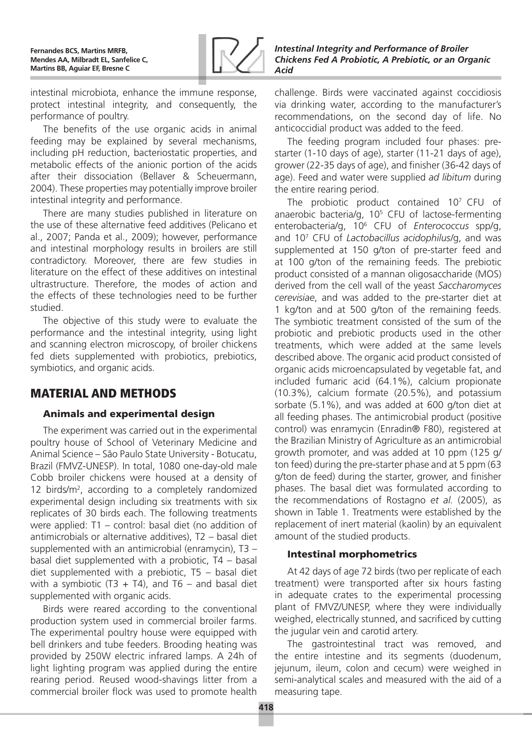

intestinal microbiota, enhance the immune response, protect intestinal integrity, and consequently, the performance of poultry.

The benefits of the use organic acids in animal feeding may be explained by several mechanisms, including pH reduction, bacteriostatic properties, and metabolic effects of the anionic portion of the acids after their dissociation (Bellaver & Scheuermann, 2004). These properties may potentially improve broiler intestinal integrity and performance.

There are many studies published in literature on the use of these alternative feed additives (Pelicano et al., 2007; Panda et al., 2009); however, performance and intestinal morphology results in broilers are still contradictory. Moreover, there are few studies in literature on the effect of these additives on intestinal ultrastructure. Therefore, the modes of action and the effects of these technologies need to be further studied.

The objective of this study were to evaluate the performance and the intestinal integrity, using light and scanning electron microscopy, of broiler chickens fed diets supplemented with probiotics, prebiotics, symbiotics, and organic acids.

# MATERIAL AND METHODS

## Animals and experimental design

The experiment was carried out in the experimental poultry house of School of Veterinary Medicine and Animal Science – São Paulo State University - Botucatu, Brazil (FMVZ-UNESP). In total, 1080 one-day-old male Cobb broiler chickens were housed at a density of 12 birds/m<sup>2</sup>, according to a completely randomized experimental design including six treatments with six replicates of 30 birds each. The following treatments were applied: T1 – control: basal diet (no addition of antimicrobials or alternative additives), T2 – basal diet supplemented with an antimicrobial (enramycin), T3 – basal diet supplemented with a probiotic, T4 – basal diet supplemented with a prebiotic, T5 – basal diet with a symbiotic (T3 + T4), and T6 – and basal diet supplemented with organic acids.

Birds were reared according to the conventional production system used in commercial broiler farms. The experimental poultry house were equipped with bell drinkers and tube feeders. Brooding heating was provided by 250W electric infrared lamps. A 24h of light lighting program was applied during the entire rearing period. Reused wood-shavings litter from a commercial broiler flock was used to promote health

challenge. Birds were vaccinated against coccidiosis via drinking water, according to the manufacturer's recommendations, on the second day of life. No anticoccidial product was added to the feed.

The feeding program included four phases: prestarter (1-10 days of age), starter (11-21 days of age), grower (22-35 days of age), and finisher (36-42 days of age). Feed and water were supplied *ad libitum* during the entire rearing period.

The probiotic product contained 10<sup>7</sup> CFU of anaerobic bacteria/g, 10<sup>5</sup> CFU of lactose-fermenting enterobacteria/g, 106 CFU of *Enterococcus* spp/g, and 107 CFU of *Lactobacillus acidophilus/*g, and was supplemented at 150 g/ton of pre-starter feed and at 100 g/ton of the remaining feeds. The prebiotic product consisted of a mannan oligosaccharide (MOS) derived from the cell wall of the yeast *Saccharomyces cerevisiae*, and was added to the pre-starter diet at 1 kg/ton and at 500 g/ton of the remaining feeds. The symbiotic treatment consisted of the sum of the probiotic and prebiotic products used in the other treatments, which were added at the same levels described above. The organic acid product consisted of organic acids microencapsulated by vegetable fat, and included fumaric acid (64.1%), calcium propionate (10.3%), calcium formate (20.5%), and potassium sorbate (5.1%), and was added at 600 g/ton diet at all feeding phases. The antimicrobial product (positive control) was enramycin (Enradin® F80), registered at the Brazilian Ministry of Agriculture as an antimicrobial growth promoter, and was added at 10 ppm (125 g/ ton feed) during the pre-starter phase and at 5 ppm (63 g/ton de feed) during the starter, grower, and finisher phases. The basal diet was formulated according to the recommendations of Rostagno *et al.* (2005), as shown in Table 1. Treatments were established by the replacement of inert material (kaolin) by an equivalent amount of the studied products.

## Intestinal morphometrics

At 42 days of age 72 birds (two per replicate of each treatment) were transported after six hours fasting in adequate crates to the experimental processing plant of FMVZ/UNESP, where they were individually weighed, electrically stunned, and sacrificed by cutting the jugular vein and carotid artery.

The gastrointestinal tract was removed, and the entire intestine and its segments (duodenum, jejunum, ileum, colon and cecum) were weighed in semi-analytical scales and measured with the aid of a measuring tape.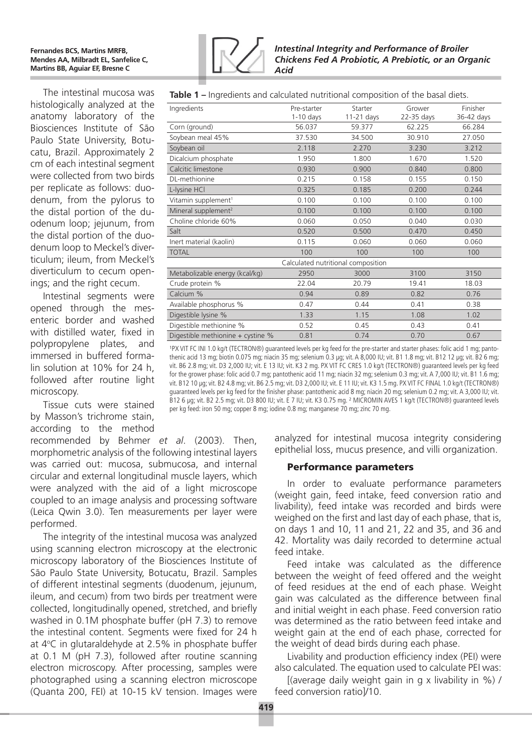#### **Fernandes BCS, Martins MRFB, Mendes AA, Milbradt EL, Sanfelice C, Martins BB, Aguiar EF, Bresne C**

*Intestinal Integrity and Performance of Broiler Chickens Fed A Probiotic, A Prebiotic, or an Organic Acid*

The intestinal mucosa was histologically analyzed at the anatomy laboratory of the Biosciences Institute of São Paulo State University, Botucatu, Brazil. Approximately 2 cm of each intestinal segment were collected from two birds per replicate as follows: duodenum, from the pylorus to the distal portion of the duodenum loop; jejunum, from the distal portion of the duodenum loop to Meckel's diverticulum; ileum, from Meckel's diverticulum to cecum openings; and the right cecum.

Intestinal segments were opened through the mesenteric border and washed with distilled water, fixed in polypropylene plates, and immersed in buffered formalin solution at 10% for 24 h, followed after routine light microscopy.

Tissue cuts were stained by Masson's trichrome stain, according to the method

recommended by Behmer *et al*. (2003). Then, morphometric analysis of the following intestinal layers was carried out: mucosa, submucosa, and internal circular and external longitudinal muscle layers, which were analyzed with the aid of a light microscope coupled to an image analysis and processing software (Leica Qwin 3.0). Ten measurements per layer were performed.

The integrity of the intestinal mucosa was analyzed using scanning electron microscopy at the electronic microscopy laboratory of the Biosciences Institute of São Paulo State University, Botucatu, Brazil. Samples of different intestinal segments (duodenum, jejunum, ileum, and cecum) from two birds per treatment were collected, longitudinally opened, stretched, and briefly washed in 0.1M phosphate buffer (pH 7.3) to remove the intestinal content. Segments were fixed for 24 h at 4°C in glutaraldehyde at 2.5% in phosphate buffer at 0.1 M (pH 7.3), followed after routine scanning electron microscopy. After processing, samples were photographed using a scanning electron microscope (Quanta 200, FEI) at 10-15 kV tension. Images were

| Ingredients                       | Pre-starter | Starter                            | Grower     | Finisher   |
|-----------------------------------|-------------|------------------------------------|------------|------------|
|                                   | $1-10$ days | 11-21 days                         | 22-35 days | 36-42 days |
| Corn (ground)                     | 56.037      | 59.377                             | 62.225     | 66.284     |
| Soybean meal 45%                  | 37.530      | 34.500                             | 30.910     | 27.050     |
| Soybean oil                       | 2.118       | 2.270                              | 3.230      | 3.212      |
| Dicalcium phosphate               | 1.950       | 1.800                              | 1.670      | 1.520      |
| Calcitic limestone                | 0.930       | 0.900                              | 0.840      | 0.800      |
| DL-methionine                     | 0.215       | 0.158                              | 0.155      | 0.150      |
| L-lysine HCl                      | 0.325       | 0.185                              | 0.200      | 0.244      |
| Vitamin supplement <sup>1</sup>   | 0.100       | 0.100                              | 0.100      | 0.100      |
| Mineral supplement <sup>2</sup>   | 0.100       | 0.100                              | 0.100      | 0.100      |
| Choline chloride 60%              | 0.060       | 0.050                              | 0.040      | 0.030      |
| Salt                              | 0.520       | 0.500                              | 0.470      | 0.450      |
| Inert material (kaolin)           | 0.115       | 0.060                              | 0.060      | 0.060      |
| <b>TOTAL</b>                      | 100         | 100                                | 100        | 100        |
|                                   |             | Calculated nutritional composition |            |            |
| Metabolizable energy (kcal/kg)    | 2950        | 3000                               | 3100       | 3150       |
| Crude protein %                   | 22.04       | 20.79                              | 19.41      | 18.03      |
| Calcium %                         | 0.94        | 0.89                               | 0.82       | 0.76       |
| Available phosphorus %            | 0.47        | 0.44                               | 0.41       | 0.38       |
| Digestible lysine %               | 1.33        | 1.15                               | 1.08       | 1.02       |
| Digestible methionine %           | 0.52        | 0.45                               | 0.43       | 0.41       |
| Digestible methionine + cystine % | 0.81        | 0.74                               | 0.70       | 0.67       |

**Table 1 –** Ingredients and calculated nutritional composition of the basal diets.

<sup>1</sup>PX VIT FC INI 1.0 kg/t (TECTRON®) quaranteed levels per kg feed for the pre-starter and starter phases: folic acid 1 mg; pantothenic acid 13 mg; biotin 0.075 mg; niacin 35 mg; selenium 0.3 µg; vit. A 8,000 IU; vit. B1 1.8 mg; vit. B12 12 µg; vit. B2 6 mg; vit. B6 2.8 mg; vit. D3 2,000 IU; vit. E 13 IU; vit. K3 2 mg. PX VIT FC CRES 1.0 kg/t (TECTRON®) guaranteed levels per kg feed for the grower phase: folic acid 0.7 mg; pantothenic acid 11 mg; niacin 32 mg; selenium 0.3 mg; vit. A 7,000 IU; vit. B1 1.6 mg; vit. B12 10 µg; vit. B2 4.8 mg; vit. B6 2.5 mg; vit. D3 2,000 IU; vit. E 11 IU; vit. K3 1.5 mg. PX VIT FC FINAL 1.0 kg/t (TECTRON®) guaranteed levels per kg feed for the finisher phase: pantothenic acid 8 mg; niacin 20 mg; selenium 0.2 mg; vit. A 3,000 IU; vit. B12 6 µg; vit. B2 2.5 mg; vit. D3 800 IU; vit. E 7 IU; vit. K3 0.75 mg. <sup>2</sup> MICROMIN AVES 1 kg/t (TECTRON®) quaranteed levels per kg feed: iron 50 mg; copper 8 mg; iodine 0.8 mg; manganese 70 mg; zinc 70 mg.

> analyzed for intestinal mucosa integrity considering epithelial loss, mucus presence, and villi organization.

### Performance parameters

In order to evaluate performance parameters (weight gain, feed intake, feed conversion ratio and livability), feed intake was recorded and birds were weighed on the first and last day of each phase, that is, on days 1 and 10, 11 and 21, 22 and 35, and 36 and 42. Mortality was daily recorded to determine actual feed intake.

Feed intake was calculated as the difference between the weight of feed offered and the weight of feed residues at the end of each phase. Weight gain was calculated as the difference between final and initial weight in each phase. Feed conversion ratio was determined as the ratio between feed intake and weight gain at the end of each phase, corrected for the weight of dead birds during each phase.

Livability and production efficiency index (PEI) were also calculated. The equation used to calculate PEI was:

[(average daily weight gain in g x livability in %) / feed conversion ratio]/10.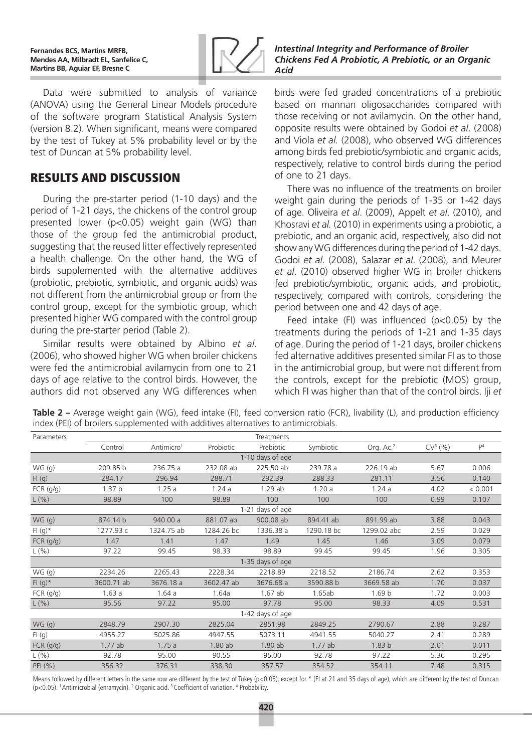

*Intestinal Integrity and Performance of Broiler Chickens Fed A Probiotic, A Prebiotic, or an Organic Acid*

Data were submitted to analysis of variance (ANOVA) using the General Linear Models procedure of the software program Statistical Analysis System (version 8.2). When significant, means were compared by the test of Tukey at 5% probability level or by the test of Duncan at 5% probability level.

## RESULTS AND DISCUSSION

During the pre-starter period (1-10 days) and the period of 1-21 days, the chickens of the control group presented lower ( $p<0.05$ ) weight gain (WG) than those of the group fed the antimicrobial product, suggesting that the reused litter effectively represented a health challenge. On the other hand, the WG of birds supplemented with the alternative additives (probiotic, prebiotic, symbiotic, and organic acids) was not different from the antimicrobial group or from the control group, except for the symbiotic group, which presented higher WG compared with the control group during the pre-starter period (Table 2).

Similar results were obtained by Albino *et al*. (2006), who showed higher WG when broiler chickens were fed the antimicrobial avilamycin from one to 21 days of age relative to the control birds. However, the authors did not observed any WG differences when

birds were fed graded concentrations of a prebiotic based on mannan oligosaccharides compared with those receiving or not avilamycin. On the other hand, opposite results were obtained by Godoi *et al*. (2008) and Viola *et al.* (2008), who observed WG differences among birds fed prebiotic/symbiotic and organic acids, respectively, relative to control birds during the period of one to 21 days.

There was no influence of the treatments on broiler weight gain during the periods of 1-35 or 1-42 days of age. Oliveira *et al*. (2009), Appelt *et al*. (2010), and Khosravi *et al.* (2010) in experiments using a probiotic, a prebiotic, and an organic acid, respectively, also did not show any WG differences during the period of 1-42 days. Godoi *et al*. (2008), Salazar *et al*. (2008), and Meurer *et al*. (2010) observed higher WG in broiler chickens fed prebiotic/symbiotic, organic acids, and probiotic, respectively, compared with controls, considering the period between one and 42 days of age.

Feed intake (FI) was influenced ( $p<0.05$ ) by the treatments during the periods of 1-21 and 1-35 days of age. During the period of 1-21 days, broiler chickens fed alternative additives presented similar FI as to those in the antimicrobial group, but were not different from the controls, except for the prebiotic (MOS) group, which FI was higher than that of the control birds. Iji *et* 

**Table 2** – Average weight gain (WG), feed intake (FI), feed conversion ratio (FCR), livability (L), and production efficiency index (PEI) of broilers supplemented with additives alternatives to antimicrobials.

| Parameters       |                   |                        |            | Treatments       |            |                       |           |                |  |  |
|------------------|-------------------|------------------------|------------|------------------|------------|-----------------------|-----------|----------------|--|--|
|                  | Control           | Antimicro <sup>1</sup> | Probiotic  | Prebiotic        | Symbiotic  | Org. Ac. <sup>2</sup> | $CV^3(%)$ | P <sup>4</sup> |  |  |
|                  | 1-10 days of age  |                        |            |                  |            |                       |           |                |  |  |
| WG(g)            | 209.85 b          | 236.75 a               | 232.08 ab  | 225.50 ab        | 239.78 a   | 226.19 ab             | 5.67      | 0.006          |  |  |
| FI(g)            | 284.17            | 296.94                 | 288.71     | 292.39           | 288.33     | 281.11                | 3.56      | 0.140          |  |  |
| FCR (g/g)        | 1.37 <sub>b</sub> | 1.25a                  | 1.24a      | 1.29ab           | 1.20a      | 1.24a                 | 4.02      | < 0.001        |  |  |
| L(% )            | 98.89             | 100                    | 98.89      | 100              | 100        | 100                   | 0.99      | 0.107          |  |  |
|                  |                   |                        |            | 1-21 days of age |            |                       |           |                |  |  |
| WG(g)            | 874.14 b          | 940.00 a               | 881.07 ab  | 900.08 ab        | 894.41 ab  | 891.99 ab             | 3.88      | 0.043          |  |  |
| $FI(g)*$         | 1277.93 c         | 1324.75 ab             | 1284.26 bc | 1336.38 a        | 1290.18 bc | 1299.02 abc           | 2.59      | 0.029          |  |  |
| FCR(g/g)         | 1.47              | 1.41                   | 1.47       | 1.49             | 1.45       | 1.46                  | 3.09      | 0.079          |  |  |
| L(% )            | 97.22             | 99.45                  | 98.33      | 98.89            | 99.45      | 99.45                 | 1.96      | 0.305          |  |  |
|                  |                   |                        |            | 1-35 days of age |            |                       |           |                |  |  |
| WG(g)            | 2234.26           | 2265.43                | 2228.34    | 2218.89          | 2218.52    | 2186.74               | 2.62      | 0.353          |  |  |
| $FI(g)*$         | 3600.71 ab        | 3676.18 a              | 3602.47 ab | 3676.68 a        | 3590.88 b  | 3669.58 ab            | 1.70      | 0.037          |  |  |
| FCR (g/g)        | 1.63a             | 1.64a                  | 1.64a      | $1.67$ ab        | 1.65ab     | 1.69 <sub>b</sub>     | 1.72      | 0.003          |  |  |
| L(% )            | 95.56             | 97.22                  | 95.00      | 97.78            | 95.00      | 98.33                 | 4.09      | 0.531          |  |  |
| 1-42 days of age |                   |                        |            |                  |            |                       |           |                |  |  |
| WG(g)            | 2848.79           | 2907.30                | 2825.04    | 2851.98          | 2849.25    | 2790.67               | 2.88      | 0.287          |  |  |
| FI(g)            | 4955.27           | 5025.86                | 4947.55    | 5073.11          | 4941.55    | 5040.27               | 2.41      | 0.289          |  |  |
| FCR (g/g)        | 1.77ab            | 1.75a                  | 1.80 ab    | 1.80 ab          | 1.77ab     | 1.83 <sub>b</sub>     | 2.01      | 0.011          |  |  |
| L(% )            | 92.78             | 95.00                  | 90.55      | 95.00            | 92.78      | 97.22                 | 5.36      | 0.295          |  |  |
| PEI (%)          | 356.32            | 376.31                 | 338.30     | 357.57           | 354.52     | 354.11                | 7.48      | 0.315          |  |  |

Means followed by different letters in the same row are different by the test of Tukey (p<0.05), except for \* (FI at 21 and 35 days of age), which are different by the test of Duncan (p<0.05). <sup>1</sup> Antimicrobial (enramycin). <sup>2</sup> Organic acid. <sup>3</sup> Coefficient of variation. <sup>4</sup> Probability.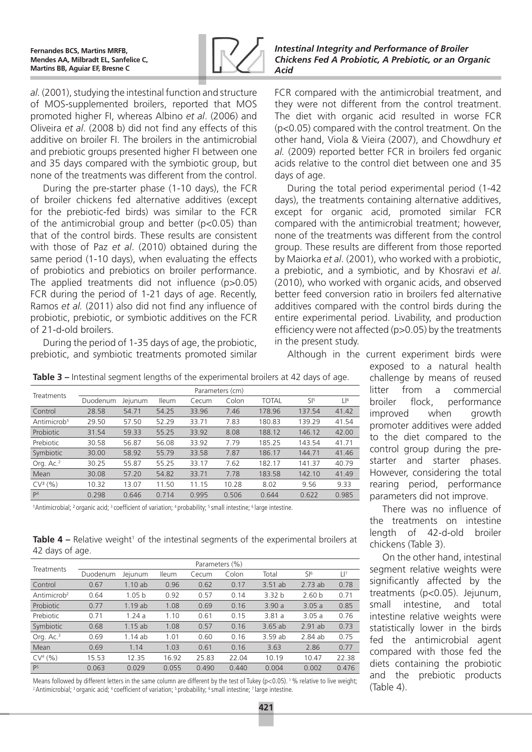

*al.* (2001), studying the intestinal function and structure of MOS-supplemented broilers, reported that MOS promoted higher FI, whereas Albino *et al*. (2006) and Oliveira *et al*. (2008 b) did not find any effects of this additive on broiler FI. The broilers in the antimicrobial and prebiotic groups presented higher FI between one and 35 days compared with the symbiotic group, but none of the treatments was different from the control.

During the pre-starter phase (1-10 days), the FCR of broiler chickens fed alternative additives (except for the prebiotic-fed birds) was similar to the FCR of the antimicrobial group and better ( $p < 0.05$ ) than that of the control birds. These results are consistent with those of Paz *et al*. (2010) obtained during the same period (1-10 days), when evaluating the effects of probiotics and prebiotics on broiler performance. The applied treatments did not influence (p>0.05) FCR during the period of 1-21 days of age. Recently, Ramos *et al.* (2011) also did not find any influence of probiotic, prebiotic, or symbiotic additives on the FCR of 21-d-old broilers.

During the period of 1-35 days of age, the probiotic, prebiotic, and symbiotic treatments promoted similar *Intestinal Integrity and Performance of Broiler Chickens Fed A Probiotic, A Prebiotic, or an Organic Acid*

FCR compared with the antimicrobial treatment, and they were not different from the control treatment. The diet with organic acid resulted in worse FCR (p<0.05) compared with the control treatment. On the other hand, Viola & Vieira (2007), and Chowdhury *et al.* (2009) reported better FCR in broilers fed organic acids relative to the control diet between one and 35 days of age.

During the total period experimental period (1-42 days), the treatments containing alternative additives, except for organic acid, promoted similar FCR compared with the antimicrobial treatment; however, none of the treatments was different from the control group. These results are different from those reported by Maiorka *et al*. (2001), who worked with a probiotic, a prebiotic, and a symbiotic, and by Khosravi *et al*. (2010), who worked with organic acids, and observed better feed conversion ratio in broilers fed alternative additives compared with the control birds during the entire experimental period. Livability, and production efficiency were not affected (p>0.05) by the treatments in the present study.

Although in the current experiment birds were

**Table 3 –** Intestinal segment lengths of the experimental broilers at 42 days of age.

| <b>Treatments</b>       | Parameters (cm) |         |              |       |       |              |                 |                 |  |
|-------------------------|-----------------|---------|--------------|-------|-------|--------------|-----------------|-----------------|--|
|                         | Duodenum        | Jejunum | <b>Ileum</b> | Cecum | Colon | <b>TOTAL</b> | SI <sup>5</sup> | LI <sup>6</sup> |  |
| Control                 | 28.58           | 54.71   | 54.25        | 33.96 | 7.46  | 178.96       | 137.54          | 41.42           |  |
| Antimicrob <sup>1</sup> | 29.50           | 57.50   | 52.29        | 33.71 | 7.83  | 180.83       | 139.29          | 41.54           |  |
| Probiotic               | 31.54           | 59.33   | 55.25        | 33.92 | 8.08  | 188.12       | 146.12          | 42.00           |  |
| Prebiotic               | 30.58           | 56.87   | 56.08        | 33.92 | 7.79  | 185.25       | 143.54          | 41.71           |  |
| Symbiotic               | 30.00           | 58.92   | 55.79        | 33.58 | 7.87  | 186.17       | 144.71          | 41.46           |  |
| Org. Ac. <sup>2</sup>   | 30.25           | 55.87   | 55.25        | 33.17 | 7.62  | 182.17       | 141.37          | 40.79           |  |
| Mean                    | 30.08           | 57.20   | 54.82        | 33.71 | 7.78  | 183.58       | 142.10          | 41.49           |  |
| $CV3(\%)$               | 10.32           | 13.07   | 11.50        | 11.15 | 10.28 | 8.02         | 9.56            | 9.33            |  |
| P <sup>4</sup>          | 0.298           | 0.646   | 0.714        | 0.995 | 0.506 | 0.644        | 0.622           | 0.985           |  |
|                         |                 |         |              |       |       |              |                 |                 |  |

<sup>1</sup>Antimicrobial; <sup>2</sup> organic acid; <sup>3</sup> coefficient of variation; <sup>4</sup> probability; <sup>5</sup> small intestine; <sup>6</sup> large intestine.

**Table 4 –** Relative weight<sup>1</sup> of the intestinal segments of the experimental broilers at 42 days of age.

| <b>Treatments</b>       |          |                   |              | Parameters (%) |       |                   |                   |          |
|-------------------------|----------|-------------------|--------------|----------------|-------|-------------------|-------------------|----------|
|                         | Duodenum | Jejunum           | <b>Ileum</b> | Cecum          | Colon | Total             | SI <sup>6</sup>   | $\Box^7$ |
| Control                 | 0.67     | 1.10ab            | 0.96         | 0.62           | 0.17  | 3.51ab            | 2.73ab            | 0.78     |
| Antimicrob <sup>2</sup> | 0.64     | 1.05 <sub>b</sub> | 0.92         | 0.57           | 0.14  | 3.32 <sub>b</sub> | 2.60 <sub>b</sub> | 0.71     |
| Probiotic               | 0.77     | 1.19ab            | 1.08         | 0.69           | 0.16  | 3.90a             | 3.05a             | 0.85     |
| Prebiotic               | 0.71     | 1.24a             | 1.10         | 0.61           | 0.15  | 3.81a             | 3.05a             | 0.76     |
| Symbiotic               | 0.68     | 1.15ab            | 1.08         | 0.57           | 0.16  | 3.65ab            | $2.91$ ab         | 0.73     |
| Org. $Ac.3$             | 0.69     | 1.14 ab           | 1.01         | 0.60           | 0.16  | 3.59 ab           | 2.84 ab           | 0.75     |
| Mean                    | 0.69     | 1.14              | 1.03         | 0.61           | 0.16  | 3.63              | 2.86              | 0.77     |
| CV <sup>4</sup> (%)     | 15.53    | 12.35             | 16.92        | 25.83          | 22.04 | 10.19             | 10.47             | 22.38    |
| P <sup>5</sup>          | 0.063    | 0.029             | 0.055        | 0.490          | 0.440 | 0.004             | 0.002             | 0.476    |

Means followed by different letters in the same column are different by the test of Tukey ( $p < 0.05$ ). <sup>1</sup>% relative to live weight;<br><sup>2</sup> Antimicrobial; <sup>3</sup> organic acid; <sup>4</sup> coefficient of variation; <sup>5</sup> probability; <sup>6</sup>

exposed to a natural health challenge by means of reused litter from a commercial broiler flock, performance improved when growth promoter additives were added to the diet compared to the control group during the prestarter and starter phases. However, considering the total rearing period, performance parameters did not improve.

There was no influence of the treatments on intestine length of 42-d-old broiler chickens (Table 3).

On the other hand, intestinal segment relative weights were significantly affected by the treatments (p<0.05). Jejunum, small intestine, and total intestine relative weights were statistically lower in the birds fed the antimicrobial agent compared with those fed the diets containing the probiotic and the prebiotic products (Table 4).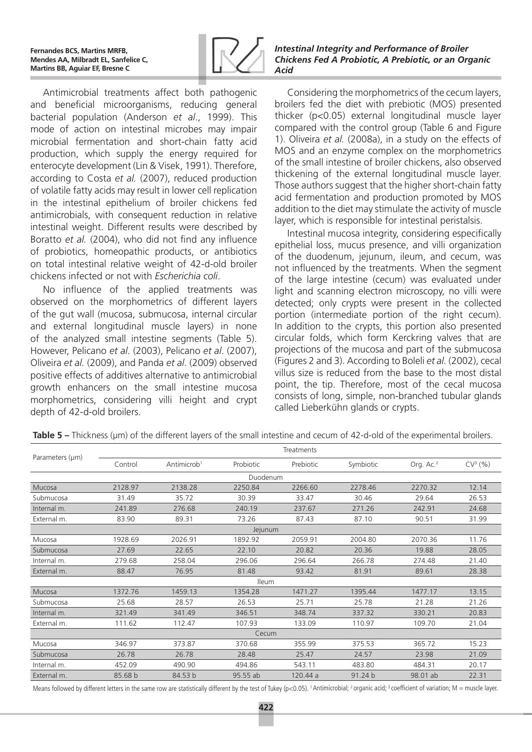

Antimicrobial treatments affect both pathogenic and beneficial microorganisms, reducing general bacterial population (Anderson *et al*., 1999). This mode of action on intestinal microbes may impair microbial fermentation and short-chain fatty acid production, which supply the energy required for enterocyte development (Lin & Visek, 1991). Therefore, according to Costa *et al.* (2007), reduced production of volatile fatty acids may result in lower cell replication in the intestinal epithelium of broiler chickens fed antimicrobials, with consequent reduction in relative intestinal weight. Different results were described by Boratto *et al.* (2004), who did not find any influence of probiotics, homeopathic products, or antibiotics on total intestinal relative weight of 42-d-old broiler chickens infected or not with *Escherichia coli*.

No influence of the applied treatments was observed on the morphometrics of different layers of the gut wall (mucosa, submucosa, internal circular and external longitudinal muscle layers) in none of the analyzed small intestine segments (Table 5). However, Pelicano *et al*. (2003), Pelicano *et al*. (2007), Oliveira *et al.* (2009), and Panda *et al*. (2009) observed positive effects of additives alternative to antimicrobial growth enhancers on the small intestine mucosa morphometrics, considering villi height and crypt depth of 42-d-old broilers.

*Intestinal Integrity and Performance of Broiler Chickens Fed A Probiotic, A Prebiotic, or an Organic Acid*

Considering the morphometrics of the cecum layers, broilers fed the diet with prebiotic (MOS) presented thicker (p<0.05) external longitudinal muscle layer compared with the control group (Table 6 and Figure 1). Oliveira *et al.* (2008a), in a study on the effects of MOS and an enzyme complex on the morphometrics of the small intestine of broiler chickens, also observed thickening of the external longitudinal muscle layer. Those authors suggest that the higher short-chain fatty acid fermentation and production promoted by MOS addition to the diet may stimulate the activity of muscle layer, which is responsible for intestinal peristalsis.

Intestinal mucosa integrity, considering especifically epithelial loss, mucus presence, and villi organization of the duodenum, jejunum, ileum, and cecum, was not influenced by the treatments. When the segment of the large intestine (cecum) was evaluated under light and scanning electron microscopy, no villi were detected; only crypts were present in the collected portion (intermediate portion of the right cecum). In addition to the crypts, this portion also presented circular folds, which form Kerckring valves that are projections of the mucosa and part of the submucosa (Figures 2 and 3). According to Boleli *et al.* (2002), cecal villus size is reduced from the base to the most distal point, the tip. Therefore, most of the cecal mucosa consists of long, simple, non-branched tubular glands called Lieberkühn glands or crypts.

|  |  |  |  | Table $5$ – Thickness ( $\mu$ m) of the different layers of the small intestine and cecum of 42-d-old of the experimental broilers. |  |
|--|--|--|--|-------------------------------------------------------------------------------------------------------------------------------------|--|
|--|--|--|--|-------------------------------------------------------------------------------------------------------------------------------------|--|

| Parameters (µm) |         |                         |              | Treatments |           |                       |                      |  |
|-----------------|---------|-------------------------|--------------|------------|-----------|-----------------------|----------------------|--|
|                 | Control | Antimicrob <sup>1</sup> | Probiotic    | Prebiotic  | Symbiotic | Org. Ac. <sup>2</sup> | CV <sup>3</sup> (% ) |  |
| Duodenum        |         |                         |              |            |           |                       |                      |  |
| Mucosa          | 2128.97 | 2138.28                 | 2250.84      | 2266.60    | 2278.46   | 2270.32               | 12.14                |  |
| Submucosa       | 31.49   | 35.72                   | 30.39        | 33.47      | 30.46     | 29.64                 | 26.53                |  |
| Internal m.     | 241.89  | 276.68                  | 240.19       | 237.67     | 271.26    | 242.91                | 24.68                |  |
| External m.     | 83.90   | 89.31                   | 73.26        | 87.43      | 87.10     | 90.51                 | 31.99                |  |
|                 |         |                         | Jejunum      |            |           |                       |                      |  |
| Mucosa          | 1928.69 | 2026.91                 | 1892.92      | 2059.91    | 2004.80   | 2070.36               | 11.76                |  |
| Submucosa       | 27.69   | 22.65                   | 22.10        | 20.82      | 20.36     | 19.88                 | 28.05                |  |
| Internal m.     | 279.68  | 258.04                  | 296.06       | 296.64     | 266.78    | 274.48                | 21.40                |  |
| External m.     | 88.47   | 76.95                   | 81.48        | 93.42      | 81.91     | 89.61                 | 28.38                |  |
|                 |         |                         | <b>Ileum</b> |            |           |                       |                      |  |
| Mucosa          | 1372.76 | 1459.13                 | 1354.28      | 1471.27    | 1395.44   | 1477.17               | 13.15                |  |
| Submucosa       | 25.68   | 28.57                   | 26.53        | 25.71      | 25.78     | 21.28                 | 21.26                |  |
| Internal m.     | 321.49  | 341.49                  | 346.51       | 348.74     | 337.32    | 330.21                | 20.83                |  |
| External m.     | 111.62  | 112.47                  | 107.93       | 133.09     | 110.97    | 109.70                | 21.04                |  |
| Cecum           |         |                         |              |            |           |                       |                      |  |
| Mucosa          | 346.97  | 373.87                  | 370.68       | 355.99     | 375.53    | 365.72                | 15.23                |  |
| Submucosa       | 26.78   | 26.78                   | 28.48        | 25.47      | 24.57     | 23.98                 | 21.09                |  |
| Internal m.     | 452.09  | 490.90                  | 494.86       | 543.11     | 483.80    | 484.31                | 20.17                |  |
| External m.     | 85.68 b | 84.53 b                 | 95.55 ab     | 120.44 a   | 91.24 b   | 98.01 ab              | 22.31                |  |

Means followed by different letters in the same row are statistically different by the test of Tukey (p<0.05). <sup>1</sup> Antimicrobial; <sup>2</sup> organic acid; <sup>3</sup> coefficient of variation; M = muscle layer.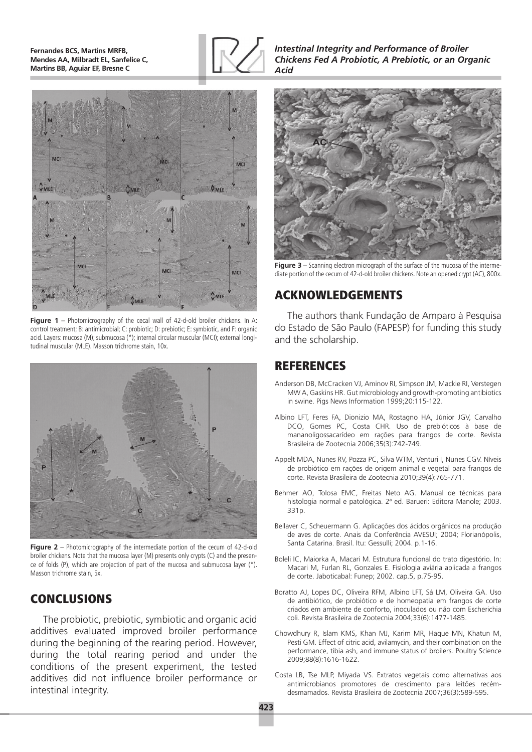**Fernandes BCS, Martins MRFB, Mendes AA, Milbradt EL, Sanfelice C, Martins BB, Aguiar EF, Bresne C**





**Figure 1** – Photomicrography of the cecal wall of 42-d-old broiler chickens. In A: control treatment; B: antimicrobial; C: probiotic; D: prebiotic; E: symbiotic, and F: organic acid. Layers: mucosa (M); submucosa (\*); internal circular muscular (MCI); external longitudinal muscular (MLE). Masson trichrome stain, 10x.



**Figure 2** – Photomicrography of the intermediate portion of the cecum of 42-d-old broiler chickens. Note that the mucosa layer (M) presents only crypts (C) and the presence of folds (P), which are projection of part of the mucosa and submucosa layer (\*). Masson trichrome stain, 5x.

# CONCLUSIONS

The probiotic, prebiotic, symbiotic and organic acid additives evaluated improved broiler performance during the beginning of the rearing period. However, during the total rearing period and under the conditions of the present experiment, the tested additives did not influence broiler performance or intestinal integrity.

*Intestinal Integrity and Performance of Broiler Chickens Fed A Probiotic, A Prebiotic, or an Organic Acid*



**Figure 3** – Scanning electron micrograph of the surface of the mucosa of the intermediate portion of the cecum of 42-d-old broiler chickens. Note an opened crypt (AC), 800x.

## ACKNOWLEDGEMENTS

The authors thank Fundação de Amparo à Pesquisa do Estado de São Paulo (FAPESP) for funding this study and the scholarship.

## REFERENCES

- Anderson DB, McCracken VJ, Aminov RI, Simpson JM, Mackie RI, Verstegen MW A, Gaskins HR. Gut microbiology and growth-promoting antibiotics in swine. Pigs News Information 1999:20:115-122.
- Albino LFT, Feres FA, Dionizio MA, Rostagno HA, Júnior JGV, Carvalho DCO, Gomes PC, Costa CHR. Uso de prebióticos à base de mananoligossacarídeo em rações para frangos de corte. Revista Brasileira de Zootecnia 2006;35(3):742-749.
- Appelt MDA, Nunes RV, Pozza PC, Silva WTM, Venturi I, Nunes CGV. Níveis de probiótico em rações de origem animal e vegetal para frangos de corte. Revista Brasileira de Zootecnia 2010;39(4):765-771.
- Behmer AO, Tolosa EMC, Freitas Neto AG. Manual de técnicas para histologia normal e patológica. 2ª ed. Barueri: Editora Manole; 2003. 331p.
- Bellaver C, Scheuermann G. Aplicações dos ácidos orgânicos na produção de aves de corte. Anais da Conferência AVESUI; 2004; Florianópolis, Santa Catarina. Brasil. Itu: Gessulli; 2004. p.1-16.
- Boleli IC, Maiorka A, Macari M. Estrutura funcional do trato digestório. In: Macari M, Furlan RL, Gonzales E. Fisiologia aviária aplicada a frangos de corte. Jaboticabal: Funep; 2002. cap.5, p.75-95.
- Boratto AJ, Lopes DC, Oliveira RFM, Albino LFT, Sá LM, Oliveira GA. Uso de antibiótico, de probiótico e de homeopatia em frangos de corte criados em ambiente de conforto, inoculados ou não com Escherichia coli. Revista Brasileira de Zootecnia 2004;33(6):1477-1485.
- Chowdhury R, Islam KMS, Khan MJ, Karim MR, Haque MN, Khatun M, Pesti GM. Effect of citric acid, avilamycin, and their combination on the performance, tibia ash, and immune status of broilers. Poultry Science 2009;88(8):1616-1622.
- Costa LB, Tse MLP, Miyada VS. Extratos vegetais como alternativas aos antimicrobianos promotores de crescimento para leitões recémdesmamados. Revista Brasileira de Zootecnia 2007;36(3):589-595.